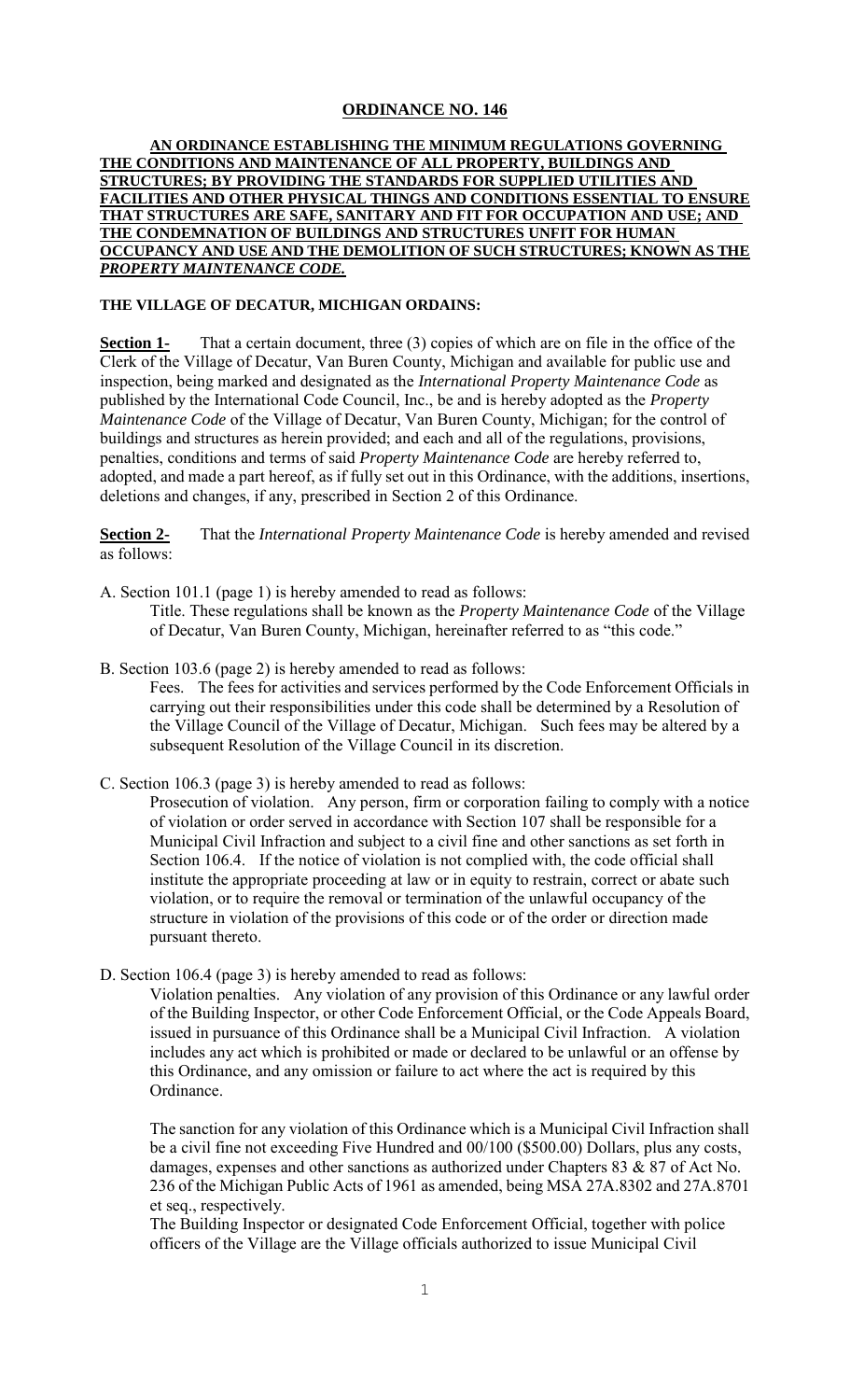## **ORDINANCE NO. 146**

## **AN ORDINANCE ESTABLISHING THE MINIMUM REGULATIONS GOVERNING THE CONDITIONS AND MAINTENANCE OF ALL PROPERTY, BUILDINGS AND STRUCTURES; BY PROVIDING THE STANDARDS FOR SUPPLIED UTILITIES AND FACILITIES AND OTHER PHYSICAL THINGS AND CONDITIONS ESSENTIAL TO ENSURE THAT STRUCTURES ARE SAFE, SANITARY AND FIT FOR OCCUPATION AND USE; AND THE CONDEMNATION OF BUILDINGS AND STRUCTURES UNFIT FOR HUMAN OCCUPANCY AND USE AND THE DEMOLITION OF SUCH STRUCTURES; KNOWN AS THE**  *PROPERTY MAINTENANCE CODE.*

## **THE VILLAGE OF DECATUR, MICHIGAN ORDAINS:**

**Section 1-** That a certain document, three (3) copies of which are on file in the office of the Clerk of the Village of Decatur, Van Buren County, Michigan and available for public use and inspection, being marked and designated as the *International Property Maintenance Code* as published by the International Code Council, Inc., be and is hereby adopted as the *Property Maintenance Code* of the Village of Decatur, Van Buren County, Michigan; for the control of buildings and structures as herein provided; and each and all of the regulations, provisions, penalties, conditions and terms of said *Property Maintenance Code* are hereby referred to, adopted, and made a part hereof, as if fully set out in this Ordinance, with the additions, insertions, deletions and changes, if any, prescribed in Section 2 of this Ordinance.

**Section 2-** That the *International Property Maintenance Code* is hereby amended and revised as follows:

A. Section 101.1 (page 1) is hereby amended to read as follows: Title. These regulations shall be known as the *Property Maintenance Code* of the Village of Decatur, Van Buren County, Michigan, hereinafter referred to as "this code."

B. Section 103.6 (page 2) is hereby amended to read as follows:

Fees. The fees for activities and services performed by the Code Enforcement Officials in carrying out their responsibilities under this code shall be determined by a Resolution of the Village Council of the Village of Decatur, Michigan. Such fees may be altered by a subsequent Resolution of the Village Council in its discretion.

C. Section 106.3 (page 3) is hereby amended to read as follows:

Prosecution of violation. Any person, firm or corporation failing to comply with a notice of violation or order served in accordance with Section 107 shall be responsible for a Municipal Civil Infraction and subject to a civil fine and other sanctions as set forth in Section 106.4. If the notice of violation is not complied with, the code official shall institute the appropriate proceeding at law or in equity to restrain, correct or abate such violation, or to require the removal or termination of the unlawful occupancy of the structure in violation of the provisions of this code or of the order or direction made pursuant thereto.

D. Section 106.4 (page 3) is hereby amended to read as follows:

Violation penalties. Any violation of any provision of this Ordinance or any lawful order of the Building Inspector, or other Code Enforcement Official, or the Code Appeals Board, issued in pursuance of this Ordinance shall be a Municipal Civil Infraction. A violation includes any act which is prohibited or made or declared to be unlawful or an offense by this Ordinance, and any omission or failure to act where the act is required by this Ordinance.

The sanction for any violation of this Ordinance which is a Municipal Civil Infraction shall be a civil fine not exceeding Five Hundred and 00/100 (\$500.00) Dollars, plus any costs, damages, expenses and other sanctions as authorized under Chapters 83 & 87 of Act No. 236 of the Michigan Public Acts of 1961 as amended, being MSA 27A.8302 and 27A.8701 et seq., respectively.

The Building Inspector or designated Code Enforcement Official, together with police officers of the Village are the Village officials authorized to issue Municipal Civil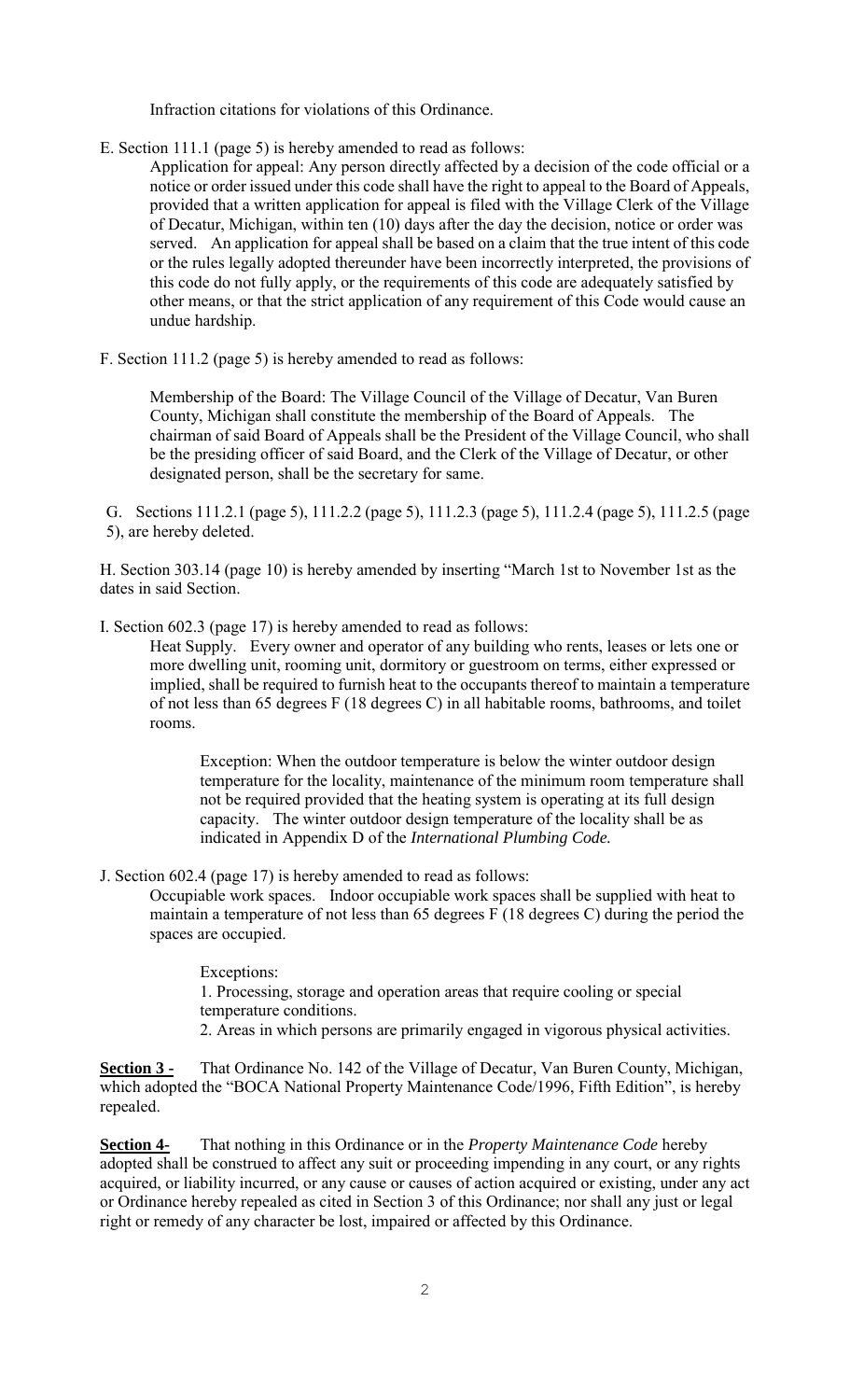Infraction citations for violations of this Ordinance.

- E. Section 111.1 (page 5) is hereby amended to read as follows:
	- Application for appeal: Any person directly affected by a decision of the code official or a notice or order issued under this code shall have the right to appeal to the Board of Appeals, provided that a written application for appeal is filed with the Village Clerk of the Village of Decatur, Michigan, within ten (10) days after the day the decision, notice or order was served. An application for appeal shall be based on a claim that the true intent of this code or the rules legally adopted thereunder have been incorrectly interpreted, the provisions of this code do not fully apply, or the requirements of this code are adequately satisfied by other means, or that the strict application of any requirement of this Code would cause an undue hardship.
- F. Section 111.2 (page 5) is hereby amended to read as follows:

Membership of the Board: The Village Council of the Village of Decatur, Van Buren County, Michigan shall constitute the membership of the Board of Appeals. The chairman of said Board of Appeals shall be the President of the Village Council, who shall be the presiding officer of said Board, and the Clerk of the Village of Decatur, or other designated person, shall be the secretary for same.

G. Sections 111.2.1 (page 5), 111.2.2 (page 5), 111.2.3 (page 5), 111.2.4 (page 5), 111.2.5 (page 5), are hereby deleted.

H. Section 303.14 (page 10) is hereby amended by inserting "March 1st to November 1st as the dates in said Section.

I. Section 602.3 (page 17) is hereby amended to read as follows:

Heat Supply. Every owner and operator of any building who rents, leases or lets one or more dwelling unit, rooming unit, dormitory or guestroom on terms, either expressed or implied, shall be required to furnish heat to the occupants thereof to maintain a temperature of not less than 65 degrees F (18 degrees C) in all habitable rooms, bathrooms, and toilet rooms.

Exception: When the outdoor temperature is below the winter outdoor design temperature for the locality, maintenance of the minimum room temperature shall not be required provided that the heating system is operating at its full design capacity. The winter outdoor design temperature of the locality shall be as indicated in Appendix D of the *International Plumbing Code.*

J. Section 602.4 (page 17) is hereby amended to read as follows:

Occupiable work spaces. Indoor occupiable work spaces shall be supplied with heat to maintain a temperature of not less than 65 degrees F (18 degrees C) during the period the spaces are occupied.

Exceptions: 1. Processing, storage and operation areas that require cooling or special temperature conditions. 2. Areas in which persons are primarily engaged in vigorous physical activities.

**Section 3 -** That Ordinance No. 142 of the Village of Decatur, Van Buren County, Michigan, which adopted the "BOCA National Property Maintenance Code/1996, Fifth Edition", is hereby repealed.

**Section 4-** That nothing in this Ordinance or in the *Property Maintenance Code* hereby adopted shall be construed to affect any suit or proceeding impending in any court, or any rights acquired, or liability incurred, or any cause or causes of action acquired or existing, under any act or Ordinance hereby repealed as cited in Section 3 of this Ordinance; nor shall any just or legal right or remedy of any character be lost, impaired or affected by this Ordinance.